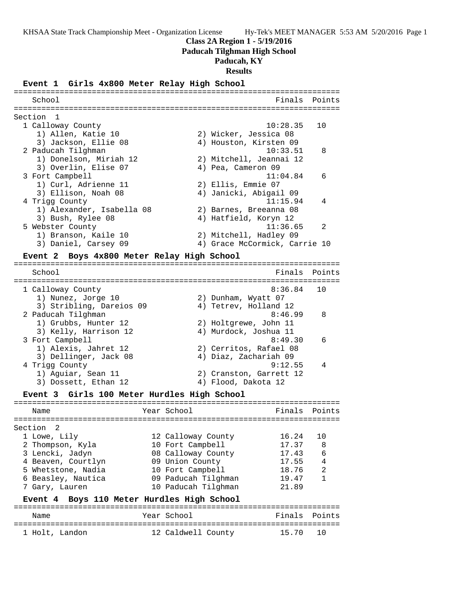## **Class 2A Region 1 - 5/19/2016**

**Paducah Tilghman High School**

# **Paducah, KY**

**Results**

## **Event 1 Girls 4x800 Meter Relay High School**

| School                    | Finals Points                 |  |
|---------------------------|-------------------------------|--|
| Section 1                 |                               |  |
| 1 Calloway County         | 10:28.35<br>1 O               |  |
| 1) Allen, Katie 10        | 2) Wicker, Jessica 08         |  |
| 3) Jackson, Ellie 08      | 4) Houston, Kirsten 09        |  |
| 2 Paducah Tilghman        | 8<br>10:33.51                 |  |
| 1) Donelson, Miriah 12    | 2) Mitchell, Jeannai 12       |  |
| 3) Overlin, Elise 07      | 4) Pea, Cameron 09            |  |
| 3 Fort Campbell           | 11:04.84<br>$\epsilon$        |  |
| 1) Curl, Adrienne 11      | 2) Ellis, Emmie 07            |  |
| 3) Ellison, Noah 08       | 4) Janicki, Abigail 09        |  |
| 4 Trigg County            | $\overline{4}$<br>11:15.94    |  |
| 1) Alexander, Isabella 08 | 2) Barnes, Breeanna 08        |  |
| 3) Bush, Rylee 08         | 4) Hatfield, Koryn 12         |  |
| 5 Webster County          | $\mathcal{D}$<br>11:36.65     |  |
| 1) Branson, Kaile 10      | 2) Mitchell, Hadley 09        |  |
| 3) Daniel, Carsey 09      | 4) Grace McCormick, Carrie 10 |  |
|                           |                               |  |

## **Event 2 Boys 4x800 Meter Relay High School**

======================================================================= School **Finals** Points ======================================================================= 1 Calloway County 8:36.84 10 1) Nunez, Jorge 10 2) Dunham, Wyatt 07 3) Stribling, Dareios 09 4) Tetrev, Holland 12 2 Paducah Tilghman 8:46.99 8 1) Grubbs, Hunter 12 2) Holtgrewe, John 11 3) Kelly, Harrison 12 4) Murdock, Joshua 11 3 Fort Campbell 8:49.30 6 1) Alexis, Jahret 12 2) Cerritos, Rafael 08 3) Dellinger, Jack 08 4) Diaz, Zachariah 09 4 Trigg County 9:12.55 4 1) Aguiar, Sean 11 2) Cranston, Garrett 12 3) Dossett, Ethan 12 (4) Flood, Dakota 12

#### **Event 3 Girls 100 Meter Hurdles High School**

| Name               | Year School         | Finals Points |     |
|--------------------|---------------------|---------------|-----|
| Section 2          |                     |               |     |
| 1 Lowe, Lily       | 12 Calloway County  | 16.24         | 1 N |
| 2 Thompson, Kyla   | 10 Fort Campbell    | 17.37         | 8   |
| 3 Lencki, Jadyn    | 08 Calloway County  | 17.43         | 6   |
| 4 Beaven, Courtlyn | 09 Union County     | 17.55         | 4   |
| 5 Whetstone, Nadia | 10 Fort Campbell    | 18.76         | 2   |
| 6 Beasley, Nautica | 09 Paducah Tilghman | 19.47         |     |
| 7 Gary, Lauren     | 10 Paducah Tilghman | 21.89         |     |
|                    |                     |               |     |

#### **Event 4 Boys 110 Meter Hurdles High School**

| Name           |  | Year School        | Finals Points |  |
|----------------|--|--------------------|---------------|--|
| 1 Holt, Landon |  | 12 Caldwell County | 15.70 10      |  |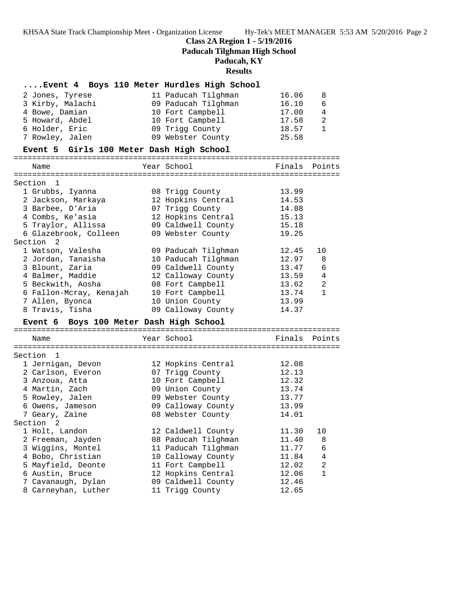# **Class 2A Region 1 - 5/19/2016**

**Paducah Tilghman High School**

# **Paducah, KY**

**Results**

| Event 4 Boys 110 Meter Hurdles High School |                     |        |                |
|--------------------------------------------|---------------------|--------|----------------|
| 2 Jones, Tyrese                            | 11 Paducah Tilghman | 16.06  | 8              |
| 3 Kirby, Malachi                           | 09 Paducah Tilghman | 16.10  | 6              |
| 4 Bowe, Damian                             | 10 Fort Campbell    | 17.00  | $\overline{4}$ |
| 5 Howard, Abdel                            | 10 Fort Campbell    | 17.58  | 2              |
| 6 Holder, Eric                             | 09 Trigg County     | 18.57  | $\mathbf{1}$   |
| 7 Rowley, Jalen                            | 09 Webster County   | 25.58  |                |
| Event 5 Girls 100 Meter Dash High School   |                     |        |                |
| Name                                       | Year School         | Finals | Points         |
|                                            |                     |        |                |
| Section<br>1                               |                     |        |                |
| 1 Grubbs, Iyanna                           | 08 Trigg County     | 13.99  |                |
| 2 Jackson, Markaya                         | 12 Hopkins Central  | 14.53  |                |
| 3 Barbee, D'Aria                           | 07 Trigg County     | 14.88  |                |
| 4 Combs, Ke'asia                           | 12 Hopkins Central  | 15.13  |                |
| 5 Traylor, Allissa                         | 09 Caldwell County  | 15.18  |                |
| 6 Glazebrook, Colleen                      | 09 Webster County   | 19.25  |                |
| Section 2                                  |                     |        |                |
| 1 Watson, Valesha                          | 09 Paducah Tilghman | 12.45  | 10             |
| 2 Jordan, Tanaisha                         | 10 Paducah Tilghman | 12.97  | 8              |
| 3 Blount, Zaria                            | 09 Caldwell County  | 13.47  | 6              |
| 4 Balmer, Maddie                           | 12 Calloway County  | 13.59  | 4              |
| 5 Beckwith, Aosha                          | 08 Fort Campbell    | 13.62  | 2              |
| 6 Fallon-Mcray, Kenajah                    | 10 Fort Campbell    | 13.74  | $\mathbf{1}$   |
| 7 Allen, Byonca                            | 10 Union County     | 13.99  |                |
| 8 Travis, Tisha                            | 09 Calloway County  | 14.37  |                |
| Event 6 Boys 100 Meter Dash High School    |                     |        |                |
| Name                                       | Year School         | Finals | Points         |
|                                            |                     |        |                |
| Section 1                                  |                     |        |                |
| 1 Jernigan, Devon                          | 12 Hopkins Central  | 12.08  |                |
| 2 Carlson, Everon                          | 07 Trigg County     | 12.13  |                |
| 3 Anzoua, Atta                             | 10 Fort Campbell    | 12.32  |                |
| 4 Martin, Zach                             | 09 Union County     | 13.74  |                |
| 5 Rowley, Jalen                            | 09 Webster County   | 13.77  |                |
| 6 Owens, Jameson                           | 09 Calloway County  | 13.99  |                |
| 7 Geary, Zaine                             | 08 Webster County   | 14.01  |                |
| Section 2                                  |                     |        |                |
| 1 Holt, Landon                             | 12 Caldwell County  | 11.30  | 10             |
| 2 Freeman, Jayden                          | 08 Paducah Tilghman | 11.40  | 8              |
| 3 Wiggins, Montel                          | 11 Paducah Tilghman | 11.77  | 6              |
| 4 Bobo, Christian                          | 10 Calloway County  | 11.84  | 4              |
| 5 Mayfield, Deonte                         | 11 Fort Campbell    | 12.02  | 2              |
| 6 Austin, Bruce                            | 12 Hopkins Central  | 12.06  | 1              |
| 7 Cavanaugh, Dylan                         | 09 Caldwell County  | 12.46  |                |

8 Carneyhan, Luther 11 Trigg County 12.65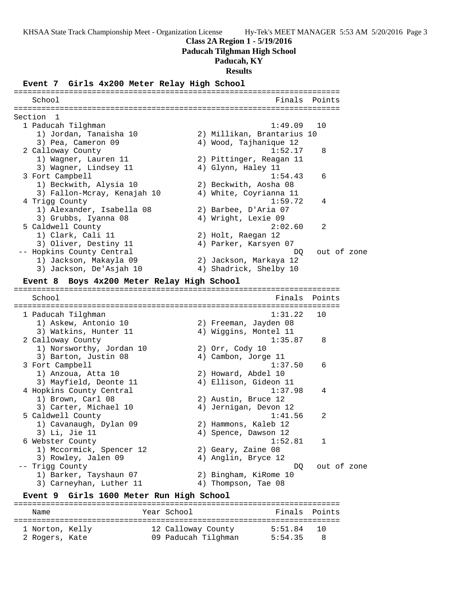## **Class 2A Region 1 - 5/19/2016**

**Paducah Tilghman High School**

# **Paducah, KY**

**Results**

**Event 7 Girls 4x200 Meter Relay High School** ======================================================================= School **Finals Points** ======================================================================= Section 1<br>1 Paducah Tilghman 1 Paducah Tilghman 1:49.09 10 1) Jordan, Tanaisha 10 2) Millikan, Brantarius 10 3) Pea, Cameron 09 4) Wood, Tajhanique 12 2 Calloway County 1:52.17 8 1) Wagner, Lauren 11 2) Pittinger, Reagan 11 3) Wagner, Lindsey 11 (4) Glynn, Haley 11 3 Fort Campbell 2012 1:54.43 6 1) Beckwith, Alysia 10 2) Beckwith, Aosha 08 3) Fallon-Mcray, Kenajah 10 4) White, Coyrianna 11 4 Trigg County 1:59.72 4 1) Alexander, Isabella 08 2) Barbee, D'Aria 07 3) Grubbs, Iyanna 08 4) Wright, Lexie 09 5 Caldwell County 2:02.60 2 1) Clark, Cali 11 2) Holt, Raegan 12 3) Oliver, Destiny 11 4) Parker, Karsyen 07 -- Hopkins County Central **Data is a community of the County Central** DQ out of zone 1) Jackson, Makayla 09 2) Jackson, Markaya 12 3) Jackson, De'Asjah 10 4) Shadrick, Shelby 10 **Event 8 Boys 4x200 Meter Relay High School** ======================================================================= School **Finals** Points ======================================================================= 1 Paducah Tilghman 1:31.22 10 1) Askew, Antonio 10 2) Freeman, Jayden 08 3) Watkins, Hunter 11 4) Wiggins, Montel 11 2 Calloway County 1:35.87 8 1) Norsworthy, Jordan 10 2) Orr, Cody 10 3) Barton, Justin 08 (4) Cambon, Jorge 11 3 Fort Campbell 1:37.50 6 1) Anzoua, Atta 10 2) Howard, Abdel 10 3) Mayfield, Deonte 11 4) Ellison, Gideon 11 4 Hopkins County Central 1:37.98 4 1) Brown, Carl 08 2) Austin, Bruce 12 3) Carter, Michael 10 4) Jernigan, Devon 12 5 Caldwell County 1:41.56 2 1) Cavanaugh, Dylan 09 2) Hammons, Kaleb 12 3) Li, Jie 11 (a) 4) Spence, Dawson 12 6 Webster County 1:52.81 1 1) Mccormick, Spencer 12 2) Geary, Zaine 08 3) Rowley, Jalen 09 (4) Anglin, Bryce 12 -- Trigg County  $DQ$  out of zone 1) Barker, Tayshaun 07 2) Bingham, KiRome 10 3) Carneyhan, Luther 11 (4) Thompson, Tae 08 **Event 9 Girls 1600 Meter Run High School** ======================================================================= Name  $Year School$  Finals Points

======================================================================= 1 Norton, Kelly 12 Calloway County 5:51.84 10 2 Rogers, Kate 09 Paducah Tilghman 5:54.35 8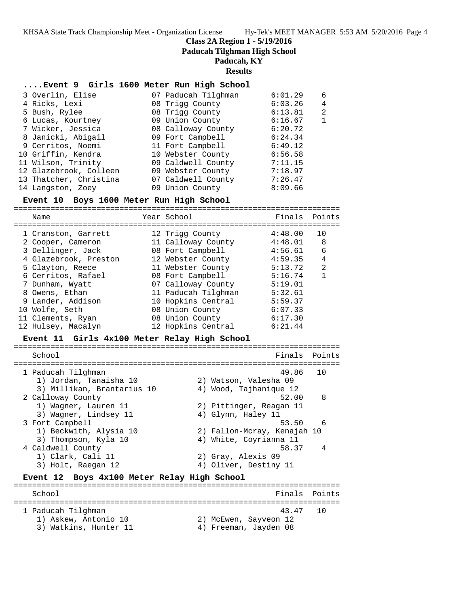## **Class 2A Region 1 - 5/19/2016**

**Paducah Tilghman High School**

## **Paducah, KY**

**Results**

## **....Event 9 Girls 1600 Meter Run High School**

|                                                                                                                                                                                                                                                              |                                                                                                                                                                                                                                                     | 6                  |
|--------------------------------------------------------------------------------------------------------------------------------------------------------------------------------------------------------------------------------------------------------------|-----------------------------------------------------------------------------------------------------------------------------------------------------------------------------------------------------------------------------------------------------|--------------------|
|                                                                                                                                                                                                                                                              |                                                                                                                                                                                                                                                     |                    |
|                                                                                                                                                                                                                                                              |                                                                                                                                                                                                                                                     | 4                  |
|                                                                                                                                                                                                                                                              | 6:13.81                                                                                                                                                                                                                                             | 2                  |
|                                                                                                                                                                                                                                                              | 6:16.67                                                                                                                                                                                                                                             | $\mathbf{1}$       |
|                                                                                                                                                                                                                                                              | 6:20.72                                                                                                                                                                                                                                             |                    |
|                                                                                                                                                                                                                                                              | 6:24.34                                                                                                                                                                                                                                             |                    |
|                                                                                                                                                                                                                                                              | 6:49.12                                                                                                                                                                                                                                             |                    |
|                                                                                                                                                                                                                                                              | 6:56.58                                                                                                                                                                                                                                             |                    |
|                                                                                                                                                                                                                                                              | 7:11.15                                                                                                                                                                                                                                             |                    |
|                                                                                                                                                                                                                                                              | 7:18.97                                                                                                                                                                                                                                             |                    |
|                                                                                                                                                                                                                                                              | 7:26.47                                                                                                                                                                                                                                             |                    |
|                                                                                                                                                                                                                                                              | 8:09.66                                                                                                                                                                                                                                             |                    |
| 3 Overlin, Elise<br>4 Ricks, Lexi<br>5 Bush, Rylee<br>6 Lucas, Kourtney<br>7 Wicker, Jessica<br>8 Janicki, Abigail<br>9 Cerritos, Noemi<br>10 Griffin, Kendra<br>11 Wilson, Trinity<br>12 Glazebrook, Colleen<br>13 Thatcher, Christina<br>14 Langston, Zoey | 07 Paducah Tilghman<br>08 Trigg County<br>08 Trigg County<br>09 Union County<br>08 Calloway County<br>09 Fort Campbell<br>11 Fort Campbell<br>10 Webster County<br>09 Caldwell County<br>09 Webster County<br>07 Caldwell County<br>09 Union County | 6:01.29<br>6:03.26 |

#### **Event 10 Boys 1600 Meter Run High School**

=======================================================================

| Name                  | Year School         | Finals  | Points       |
|-----------------------|---------------------|---------|--------------|
| 1 Cranston, Garrett   | 12 Trigg County     | 4:48.00 | 10           |
| 2 Cooper, Cameron     | 11 Calloway County  | 4:48.01 | - 8          |
| 3 Dellinger, Jack     | 08 Fort Campbell    | 4:56.61 | 6            |
| 4 Glazebrook, Preston | 12 Webster County   | 4:59.35 | 4            |
| 5 Clayton, Reece      | 11 Webster County   | 5:13.72 | 2            |
| 6 Cerritos, Rafael    | 08 Fort Campbell    | 5:16.74 | $\mathbf{1}$ |
| 7 Dunham, Wyatt       | 07 Calloway County  | 5:19.01 |              |
| 8 Owens, Ethan        | 11 Paducah Tilghman | 5:32.61 |              |
| 9 Lander, Addison     | 10 Hopkins Central  | 5:59.37 |              |
| 10 Wolfe, Seth        | 08 Union County     | 6:07.33 |              |
| 11 Clements, Ryan     | 08 Union County     | 6:17.30 |              |
| 12 Hulsey, Macalyn    | 12 Hopkins Central  | 6:21.44 |              |

#### **Event 11 Girls 4x100 Meter Relay High School**

======================================================================= School **Finals Points** Points Points Points Points Points Points Points Points Points Points Points Points Points Points Points Points Points Points Points Points Points Points Points Points Points Points Points Points Poi ======================================================================= 1 Paducah Tilghman 49.86 10 1) Jordan, Tanaisha 10 2) Watson, Valesha 09 3) Millikan, Brantarius 10 4) Wood, Tajhanique 12 2 Calloway County 52.00 8 1) Wagner, Lauren 11 2) Pittinger, Reagan 11 3) Wagner, Lindsey 11 (4) Glynn, Haley 11 3 Fort Campbell 53.50 6 1) Beckwith, Alysia 10 2) Fallon-Mcray, Kenajah 10 3) Thompson, Kyla 10 4) White, Coyrianna 11 4 Caldwell County 58.37 4 1) Clark, Cali 11 2) Gray, Alexis 09 3) Holt, Raegan 12 4) Oliver, Destiny 11

## **Event 12 Boys 4x100 Meter Relay High School**

======================================================================= Finals Points ======================================================================= 1 Paducah Tilghman 43.47 10 1) Askew, Antonio 10 2) McEwen, Sayveon 12 3) Watkins, Hunter 11 4) Freeman, Jayden 08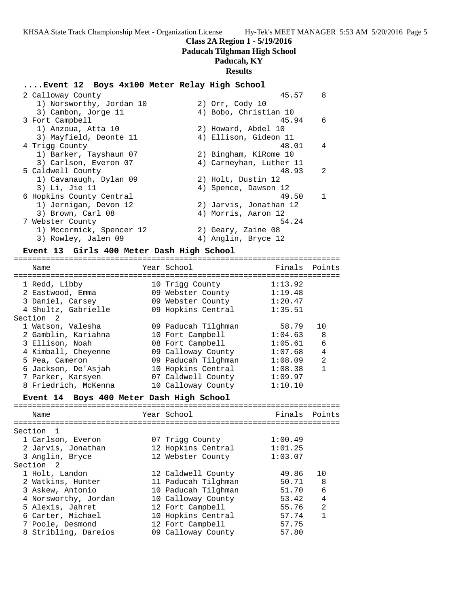# **Class 2A Region 1 - 5/19/2016**

**Paducah Tilghman High School**

# **Paducah, KY**

# **Results**

# **....Event 12 Boys 4x100 Meter Relay High School**

| 2 Calloway County        | 45.57                   | 8             |
|--------------------------|-------------------------|---------------|
| 1) Norsworthy, Jordan 10 | 2) Orr, Cody 10         |               |
| 3) Cambon, Jorge 11      | 4) Bobo, Christian 10   |               |
| 3 Fort Campbell          | 45.94                   | -6            |
| 1) Anzoua, Atta 10       | 2) Howard, Abdel 10     |               |
| 3) Mayfield, Deonte 11   | 4) Ellison, Gideon 11   |               |
| 4 Trigg County           | 48.01                   | 4             |
| 1) Barker, Tayshaun 07   | 2) Bingham, KiRome 10   |               |
| 3) Carlson, Everon 07    | 4) Carneyhan, Luther 11 |               |
| 5 Caldwell County        | 48.93                   | $\mathcal{L}$ |
| 1) Cavanaugh, Dylan 09   | 2) Holt, Dustin 12      |               |
| 3) Li, Jie 11            | 4) Spence, Dawson 12    |               |
| 6 Hopkins County Central | 49.50                   | 1             |
| 1) Jernigan, Devon 12    | 2) Jarvis, Jonathan 12  |               |
| 3) Brown, Carl 08        | 4) Morris, Aaron 12     |               |
| 7 Webster County         | 54.24                   |               |
| 1) Mccormick, Spencer 12 | 2) Geary, Zaine 08      |               |
| 3) Rowley, Jalen 09      | 4) Anglin, Bryce 12     |               |

# **Event 13 Girls 400 Meter Dash High School**

| Name                 | Year School         | Finals Points |                |
|----------------------|---------------------|---------------|----------------|
|                      |                     |               |                |
| 1 Redd, Libby        | 10 Trigg County     | 1:13.92       |                |
| 2 Eastwood, Emma     | 09 Webster County   | 1:19.48       |                |
| 3 Daniel, Carsey     | 09 Webster County   | 1:20.47       |                |
| 4 Shultz, Gabrielle  | 09 Hopkins Central  | 1:35.51       |                |
| Section <sub>2</sub> |                     |               |                |
| 1 Watson, Valesha    | 09 Paducah Tilghman | 58.79         | 1 O            |
| 2 Gamblin, Kariahna  | 10 Fort Campbell    | 1:04.63       | - 8            |
| 3 Ellison, Noah      | 08 Fort Campbell    | 1:05.61       | 6              |
| 4 Kimball, Cheyenne  | 09 Calloway County  | 1:07.68       | 4              |
| 5 Pea, Cameron       | 09 Paducah Tilghman | 1:08.09       | $\mathfrak{D}$ |
| 6 Jackson, De'Asjah  | 10 Hopkins Central  | 1:08.38       | 1              |
| 7 Parker, Karsyen    | 07 Caldwell County  | 1:09.97       |                |
| 8 Friedrich, McKenna | 10 Calloway County  | 1:10.10       |                |

# **Event 14 Boys 400 Meter Dash High School**

| Name                 | Year School         | Finals Points |                |
|----------------------|---------------------|---------------|----------------|
| Section 1            |                     |               |                |
| 1 Carlson, Everon    | 07 Trigg County     | 1:00.49       |                |
| 2 Jarvis, Jonathan   | 12 Hopkins Central  | 1:01.25       |                |
| 3 Anglin, Bryce      | 12 Webster County   | 1:03.07       |                |
| Section 2            |                     |               |                |
| 1 Holt, Landon       | 12 Caldwell County  | 49.86         | 10             |
| 2 Watkins, Hunter    | 11 Paducah Tilghman | 50.71         | - 8            |
| 3 Askew, Antonio     | 10 Paducah Tilghman | 51.70         | 6              |
| 4 Norsworthy, Jordan | 10 Calloway County  | 53.42         | $\overline{4}$ |
| 5 Alexis, Jahret     | 12 Fort Campbell    | 55.76         | 2              |
| 6 Carter, Michael    | 10 Hopkins Central  | 57.74         | 1              |
| 7 Poole, Desmond     | 12 Fort Campbell    | 57.75         |                |
| 8 Stribling, Dareios | 09 Calloway County  | 57.80         |                |
|                      |                     |               |                |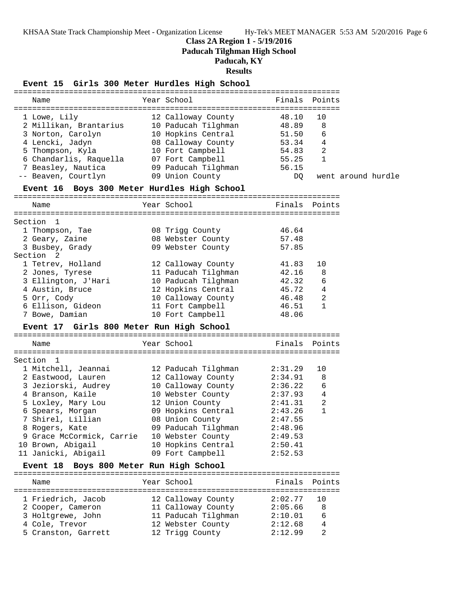**Class 2A Region 1 - 5/19/2016**

**Paducah Tilghman High School**

**Paducah, KY Results Event 15 Girls 300 Meter Hurdles High School** ======================================================================= Name The Year School The Finals Points ======================================================================= 1 Lowe, Lily 12 Calloway County 48.10 10 2 Millikan, Brantarius 10 Paducah Tilghman 48.89 8 3 Norton, Carolyn 10 Hopkins Central 51.50 6 4 Lencki, Jadyn 08 Calloway County 53.34 4 5 Thompson, Kyla 10 Fort Campbell 54.83 2 6 Chandarlis, Raquella 07 Fort Campbell 55.25 1 7 Beasley, Nautica 09 Paducah Tilghman 56.15 -- Beaven, Courtlyn 09 Union County DQ went around hurdle **Event 16 Boys 300 Meter Hurdles High School** ======================================================================= Name **Year** School ======================================================================= Section 1 1 Thompson, Tae 08 Trigg County 46.64 2 Geary, Zaine 08 Webster County 57.48 3 Busbey, Grady 09 Webster County 57.85 Section 2 1 Tetrev, Holland 12 Calloway County 41.83 10 2 Jones, Tyrese 11 Paducah Tilghman 42.16 8 3 Ellington, J'Hari 10 Paducah Tilghman 42.32 6 4 Austin, Bruce 12 Hopkins Central 45.72 4 5 Orr, Cody 10 Calloway County 46.48 2 6 Ellison, Gideon 11 Fort Campbell 46.51 1 7 Bowe, Damian 10 Fort Campbell 48.06 **Event 17 Girls 800 Meter Run High School** ======================================================================= Name The Year School Team Points ======================================================================= Section 1 1 Mitchell, Jeannai 12 Paducah Tilghman 2:31.29 10 2 Eastwood, Lauren 12 Calloway County 2:34.91 8 3 Jeziorski, Audrey 10 Calloway County 2:36.22 6 4 Branson, Kaile 10 Webster County 2:37.93 4 5 Loxley, Mary Lou 12 Union County 2:41.31 2 6 Spears, Morgan 09 Hopkins Central 2:43.26 1 7 Shirel, Lillian 08 Union County 2:47.55 8 Rogers, Kate 09 Paducah Tilghman 2:48.96 9 Grace McCormick, Carrie 10 Webster County 2:49.53 10 Brown, Abigail 10 Hopkins Central 2:50.41 11 Janicki, Abigail 09 Fort Campbell 2:52.53 **Event 18 Boys 800 Meter Run High School** ======================================================================= Name The Year School Team Points Points ======================================================================= 1 Friedrich, Jacob 12 Calloway County 2:02.77 10 2 Cooper, Cameron 11 Calloway County 2:05.66 8

 3 Holtgrewe, John 11 Paducah Tilghman 2:10.01 6 4 Cole, Trevor 12 Webster County 2:12.68 4 5 Cranston, Garrett 12 Trigg County 2:12.99 2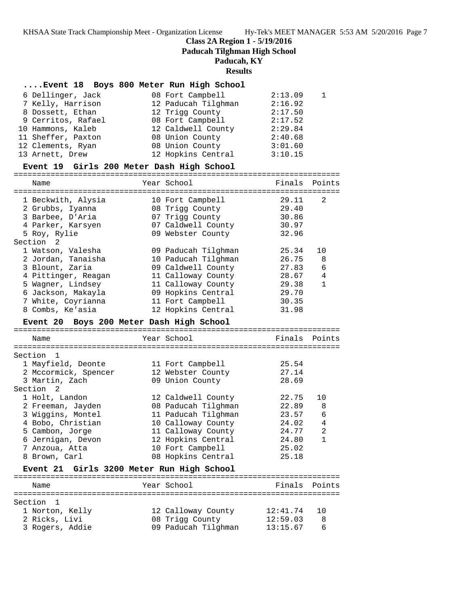# **Class 2A Region 1 - 5/19/2016**

**Paducah Tilghman High School**

# **Paducah, KY**

#### **Results**

| Event 18 Boys 800 Meter Run High School |  |                  |
|-----------------------------------------|--|------------------|
| 6 Dellinger, Jack                       |  | 08 Fort Campbell |

| 6 Dellinger, Jack  | 08 Fort Campbell    | 2:13.09 |  |
|--------------------|---------------------|---------|--|
| 7 Kelly, Harrison  | 12 Paducah Tilghman | 2:16.92 |  |
| 8 Dossett, Ethan   | 12 Trigg County     | 2:17.50 |  |
| 9 Cerritos, Rafael | 08 Fort Campbell    | 2:17.52 |  |
| 10 Hammons, Kaleb  | 12 Caldwell County  | 2:29.84 |  |
| 11 Sheffer, Paxton | 08 Union County     | 2:40.68 |  |
| 12 Clements, Ryan  | 08 Union County     | 3:01.60 |  |
| 13 Arnett, Drew    | 12 Hopkins Central  | 3:10.15 |  |

## **Event 19 Girls 200 Meter Dash High School**

=======================================================================

| Name                | Year School         | Finals | Points       |
|---------------------|---------------------|--------|--------------|
|                     |                     |        |              |
| 1 Beckwith, Alysia  | 10 Fort Campbell    | 29.11  | 2            |
| 2 Grubbs, Iyanna    | 08 Trigg County     | 29.40  |              |
| 3 Barbee, D'Aria    | 07 Trigg County     | 30.86  |              |
| 4 Parker, Karsyen   | 07 Caldwell County  | 30.97  |              |
| 5 Roy, Rylie        | 09 Webster County   | 32.96  |              |
| Section 2           |                     |        |              |
| 1 Watson, Valesha   | 09 Paducah Tilghman | 25.34  | 10           |
| 2 Jordan, Tanaisha  | 10 Paducah Tilghman | 26.75  | 8            |
| 3 Blount, Zaria     | 09 Caldwell County  | 27.83  | 6            |
| 4 Pittinger, Reagan | 11 Calloway County  | 28.67  | 4            |
| 5 Wagner, Lindsey   | 11 Calloway County  | 29.38  | $\mathbf{1}$ |
| 6 Jackson, Makayla  | 09 Hopkins Central  | 29.70  |              |
| 7 White, Coyrianna  | 11 Fort Campbell    | 30.35  |              |
| 8 Combs, Ke'asia    | 12 Hopkins Central  | 31.98  |              |
|                     |                     |        |              |

## **Event 20 Boys 200 Meter Dash High School**

======================================================================= Name Year School ======================================================================= Section 1 1 Mayfield, Deonte 11 Fort Campbell 25.54 2 Mccormick, Spencer 12 Webster County 27.14 3 Martin, Zach 09 Union County 28.69 Section 2 1 Holt, Landon 12 Caldwell County 22.75 10 2 Freeman, Jayden 08 Paducah Tilghman 22.89 8 3 Wiggins, Montel 11 Paducah Tilghman 23.57 6 4 Bobo, Christian 10 Calloway County 24.02 4 5 Cambon, Jorge 11 Calloway County 24.77 2 6 Jernigan, Devon 12 Hopkins Central 24.80 1 7 Anzoua, Atta 10 Fort Campbell 25.02 8 Brown, Carl 08 Hopkins Central 25.18 **Event 21 Girls 3200 Meter Run High School** =======================================================================

| Name            | Year School         | Finals Points |    |
|-----------------|---------------------|---------------|----|
| Section 1       |                     |               |    |
| 1 Norton, Kelly | 12 Calloway County  | 12:41.74      | 10 |
| 2 Ricks, Livi   | 08 Trigg County     | 12:59.03      | 8  |
| 3 Rogers, Addie | 09 Paducah Tilghman | 13:15.67      | Б  |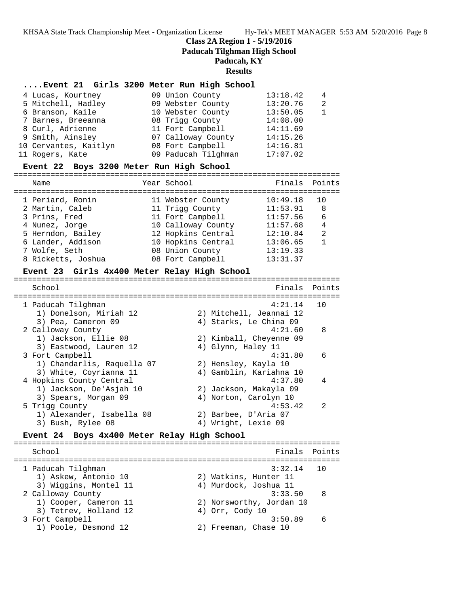## **Class 2A Region 1 - 5/19/2016**

**Paducah Tilghman High School**

## **Paducah, KY**

**Results**

## **....Event 21 Girls 3200 Meter Run High School**

| 4 Lucas, Kourtney     | 09 Union County     | 13:18.42 | 4              |
|-----------------------|---------------------|----------|----------------|
| 5 Mitchell, Hadley    | 09 Webster County   | 13:20.76 | $\mathfrak{D}$ |
| 6 Branson, Kaile      | 10 Webster County   | 13:50.05 |                |
| 7 Barnes, Breeanna    | 08 Trigg County     | 14:08.00 |                |
| 8 Curl, Adrienne      | 11 Fort Campbell    | 14:11.69 |                |
| 9 Smith, Ainsley      | 07 Calloway County  | 14:15.26 |                |
| 10 Cervantes, Kaitlyn | 08 Fort Campbell    | 14:16.81 |                |
| 11 Rogers, Kate       | 09 Paducah Tilghman | 17:07.02 |                |

#### **Event 22 Boys 3200 Meter Run High School**

=======================================================================

| Name               | Year School        | Finals Points |              |
|--------------------|--------------------|---------------|--------------|
| 1 Periard, Ronin   | 11 Webster County  | 10:49.18      |              |
| 2 Martin, Caleb    | 11 Trigg County    | 11:53.91      | 8            |
| 3 Prins, Fred      | 11 Fort Campbell   | 11:57.56      | 6            |
| 4 Nunez, Jorge     | 10 Calloway County | 11:57.68      | 4            |
| 5 Herndon, Bailey  | 12 Hopkins Central | 12:10.84      | 2            |
| 6 Lander, Addison  | 10 Hopkins Central | 13:06.65      | $\mathbf{1}$ |
| 7 Wolfe, Seth      | 08 Union County    | 13:19.33      |              |
| 8 Ricketts, Joshua | 08 Fort Campbell   | 13:31.37      |              |

## **Event 23 Girls 4x400 Meter Relay High School**

| School                     |                         | Finals Points |
|----------------------------|-------------------------|---------------|
|                            |                         |               |
| 1 Paducah Tilghman         | 4:21.14                 | 10            |
| 1) Donelson, Miriah 12     | 2) Mitchell, Jeannai 12 |               |
| 3) Pea, Cameron 09         | 4) Starks, Le China 09  |               |
| 2 Calloway County          | 4:21.60                 | 8             |
| 1) Jackson, Ellie 08       | 2) Kimball, Cheyenne 09 |               |
| 3) Eastwood, Lauren 12     | 4) Glynn, Haley 11      |               |
| 3 Fort Campbell            | 4:31.80                 | $\sqrt{2}$    |
| 1) Chandarlis, Raquella 07 | 2) Hensley, Kayla 10    |               |
| 3) White, Coyrianna 11     | 4) Gamblin, Kariahna 10 |               |
| 4 Hopkins County Central   | 4:37.80                 | 4             |
| 1) Jackson, De'Asjah 10    | 2) Jackson, Makayla 09  |               |
| 3) Spears, Morgan 09       | 4) Norton, Carolyn 10   |               |
| 5 Trigg County             | 4:53.42                 | $\mathcal{L}$ |
| 1) Alexander, Isabella 08  | 2) Barbee, D'Aria 07    |               |
| 3) Bush, Rylee 08          | 4) Wright, Lexie 09     |               |
|                            |                         |               |

## **Event 24 Boys 4x400 Meter Relay High School**

======================================================================= School **Finals** Points ======================================================================= 1 Paducah Tilghman 3:32.14 10 1) Askew, Antonio 10 2) Watkins, Hunter 11 3) Wiggins, Montel 11 4) Murdock, Joshua 11 2 Calloway County 3:33.50 8 1) Cooper, Cameron 11 2) Norsworthy, Jordan 10 3) Tetrev, Holland 12 (4) Orr, Cody 10 3 Fort Campbell 3:50.89 6 1) Poole, Desmond 12 2) Freeman, Chase 10